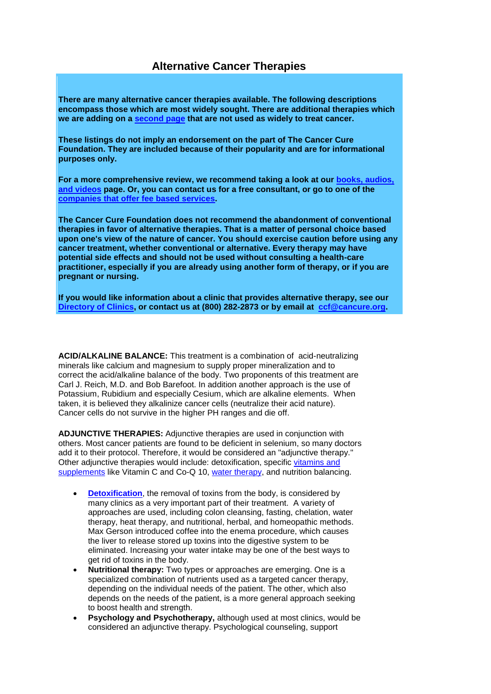**There are many alternative cancer therapies available. The following descriptions encompass those which are most widely sought. There are additional therapies which we are adding on a [second page](http://www.cancure.org/choice_of_therapies_continued.htm) that are not used as widely to treat cancer.**

**These listings do not imply an endorsement on the part of The Cancer Cure Foundation. They are included because of their popularity and are for informational purposes only.**

**For a more comprehensive review, we recommend taking a look at our [books, audios,](http://www.cancure.org/sources_of_information.htm)  [and videos](http://www.cancure.org/sources_of_information.htm) page. Or, you can contact us for a free consultant, or go to one of the [companies that offer fee based services.](http://www.cancure.org/consultants.htm)**

**The Cancer Cure Foundation does not recommend the abandonment of conventional therapies in favor of alternative therapies. That is a matter of personal choice based upon one's view of the nature of cancer. You should exercise caution before using any cancer treatment, whether conventional or alternative. Every therapy may have potential side effects and should not be used without consulting a health-care practitioner, especially if you are already using another form of therapy, or if you are pregnant or nursing.**

**If you would like information about a clinic that provides alternative therapy, see our [Directory of Clinics,](http://www.cancure.org/directory.htm) or contact us at (800) 282-2873 or by email at [ccf@cancure.org.](mailto:ccf@cancure.org)**

**ACID/ALKALINE BALANCE:** This treatment is a combination of acid-neutralizing minerals like calcium and magnesium to supply proper mineralization and to correct the acid/alkaline balance of the body. Two proponents of this treatment are Carl J. Reich, M.D. and Bob Barefoot. In addition another approach is the use of Potassium, Rubidium and especially Cesium, which are alkaline elements. When taken, it is believed they alkalinize cancer cells (neutralize their acid nature). Cancer cells do not survive in the higher PH ranges and die off.

**ADJUNCTIVE THERAPIES:** Adjunctive therapies are used in conjunction with others. Most cancer patients are found to be deficient in selenium, so many doctors add it to their protocol. Therefore, it would be considered an "adjunctive therapy." Other adjunctive therapies would include: detoxification, specific [vitamins and](http://www.cancure.org/vitamins_and_minerals.htm)  [supplements](http://www.cancure.org/vitamins_and_minerals.htm) like Vitamin C and Co-Q 10, [water therapy,](http://www.cancure.org/water_therapy.htm) and nutrition balancing.

- **[Detoxification](http://www.cancure.org/detoxification.htm)**, the removal of toxins from the body, is considered by many clinics as a very important part of their treatment. A variety of approaches are used, including colon cleansing, fasting, chelation, water therapy, heat therapy, and nutritional, herbal, and homeopathic methods. Max Gerson introduced coffee into the enema procedure, which causes the liver to release stored up toxins into the digestive system to be eliminated. Increasing your water intake may be one of the best ways to get rid of toxins in the body.
- **Nutritional therapy:** Two types or approaches are emerging. One is a specialized combination of nutrients used as a targeted cancer therapy, depending on the individual needs of the patient. The other, which also depends on the needs of the patient, is a more general approach seeking to boost health and strength.
- **Psychology and Psychotherapy, although used at most clinics, would be** considered an adjunctive therapy. Psychological counseling, support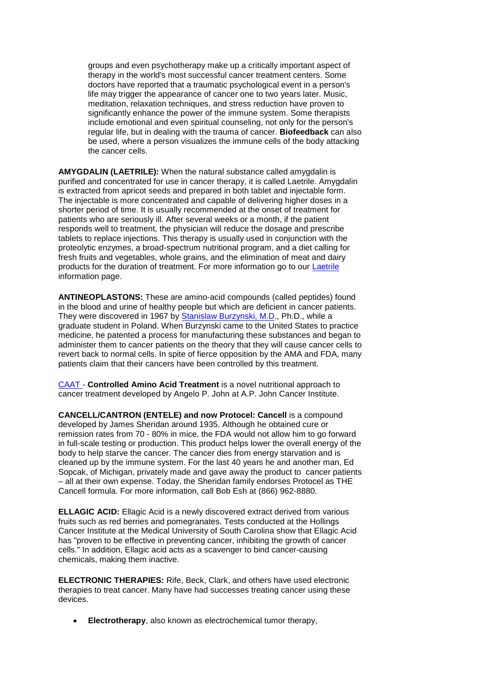groups and even psychotherapy make up a critically important aspect of therapy in the world's most successful cancer treatment centers. Some doctors have reported that a traumatic psychological event in a person's life may trigger the appearance of cancer one to two years later. Music, meditation, relaxation techniques, and stress reduction have proven to significantly enhance the power of the immune system. Some therapists include emotional and even spiritual counseling, not only for the person's regular life, but in dealing with the trauma of cancer. **Biofeedback** can also be used, where a person visualizes the immune cells of the body attacking the cancer cells.

**AMYGDALIN (LAETRILE):** When the natural substance called amygdalin is purified and concentrated for use in cancer therapy, it is called Laetrile. Amygdalin is extracted from apricot seeds and prepared in both tablet and injectable form. The injectable is more concentrated and capable of delivering higher doses in a shorter period of time. It is usually recommended at the onset of treatment for patients who are seriously ill. After several weeks or a month, if the patient responds well to treatment, the physician will reduce the dosage and prescribe tablets to replace injections. This therapy is usually used in conjunction with the proteolytic enzymes, a broad-spectrum nutritional program, and a diet calling for fresh fruits and vegetables, whole grains, and the elimination of meat and dairy products for the duration of treatment. For more information go to our [Laetrile](http://www.cancure.org/laetrile.htm) information page.

**ANTINEOPLASTONS:** These are amino-acid compounds (called peptides) found in the blood and urine of healthy people but which are deficient in cancer patients. They were discovered in 1967 by [Stanislaw Burzynski, M.D.](http://www.cancure.org/burzynski_institute.htm), Ph.D., while a graduate student in Poland. When Burzynski came to the United States to practice medicine, he patented a process for manufacturing these substances and began to administer them to cancer patients on the theory that they will cause cancer cells to revert back to normal cells. In spite of fierce opposition by the AMA and FDA, many patients claim that their cancers have been controlled by this treatment.

[CAAT -](http://www.cancure.org/CAAT.htm) **Controlled Amino Acid Treatment** is a novel nutritional approach to cancer treatment developed by Angelo P. John at A.P. John Cancer Institute.

**CANCELL/CANTRON (ENTELE) and now Protocel: Cancell** is a compound developed by James Sheridan around 1935. Although he obtained cure or remission rates from 70 - 80% in mice, the FDA would not allow him to go forward in full-scale testing or production. This product helps lower the overall energy of the body to help starve the cancer. The cancer dies from energy starvation and is cleaned up by the immune system. For the last 40 years he and another man, Ed Sopcak, of Michigan, privately made and gave away the product to cancer patients – all at their own expense. Today, the Sheridan family endorses Protocel as THE Cancell formula. For more information, call Bob Esh at (866) 962-8880.

**ELLAGIC ACID:** Ellagic Acid is a newly discovered extract derived from various fruits such as red berries and pomegranates. Tests conducted at the Hollings Cancer Institute at the Medical University of South Carolina show that Ellagic Acid has "proven to be effective in preventing cancer, inhibiting the growth of cancer cells." In addition, Ellagic acid acts as a scavenger to bind cancer-causing chemicals, making them inactive.

**ELECTRONIC THERAPIES:** Rife, Beck, Clark, and others have used electronic therapies to treat cancer. Many have had successes treating cancer using these devices.

• **Electrotherapy**, also known as electrochemical tumor therapy,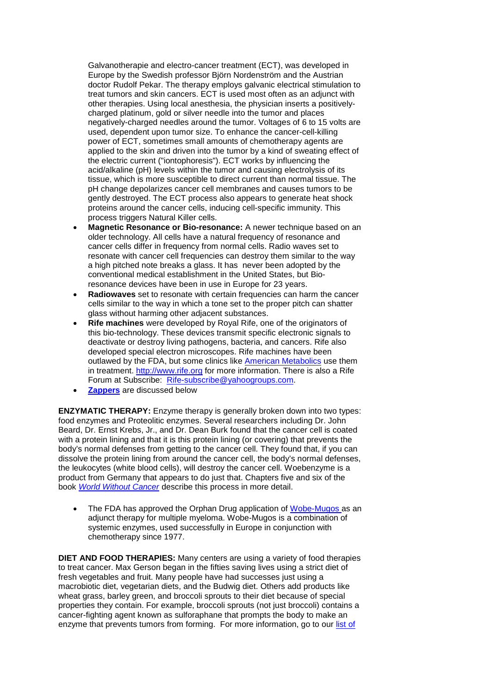Galvanotherapie and electro-cancer treatment (ECT), was developed in Europe by the Swedish professor Björn Nordenström and the Austrian doctor Rudolf Pekar. The therapy employs galvanic electrical stimulation to treat tumors and skin cancers. ECT is used most often as an adjunct with other therapies. Using local anesthesia, the physician inserts a positivelycharged platinum, gold or silver needle into the tumor and places negatively-charged needles around the tumor. Voltages of 6 to 15 volts are used, dependent upon tumor size. To enhance the cancer-cell-killing power of ECT, sometimes small amounts of chemotherapy agents are applied to the skin and driven into the tumor by a kind of sweating effect of the electric current ("iontophoresis"). ECT works by influencing the acid/alkaline (pH) levels within the tumor and causing electrolysis of its tissue, which is more susceptible to direct current than normal tissue. The pH change depolarizes cancer cell membranes and causes tumors to be gently destroyed. The ECT process also appears to generate heat shock proteins around the cancer cells, inducing cell-specific immunity. This process triggers Natural Killer cells.

- **Magnetic Resonance or Bio-resonance:** A newer technique based on an older technology. All cells have a natural frequency of resonance and cancer cells differ in frequency from normal cells. Radio waves set to resonate with cancer cell frequencies can destroy them similar to the way a high pitched note breaks a glass. It has never been adopted by the conventional medical establishment in the United States, but Bioresonance devices have been in use in Europe for 23 years.
- **Radiowaves** set to resonate with certain frequencies can harm the cancer cells similar to the way in which a tone set to the proper pitch can shatter glass without harming other adjacent substances.
- **Rife machines** were developed by Royal Rife, one of the originators of this bio-technology. These devices transmit specific electronic signals to deactivate or destroy living pathogens, bacteria, and cancers. Rife also developed special electron microscopes. Rife machines have been outlawed by the FDA, but some clinics like [American Metabolics](http://www.cancure.org/american_metabolic.htm) use them in treatment. [http://www.rife.org](http://www.rife.org/) for more information. There is also a Rife Forum at Subscribe: [Rife-subscribe@yahoogroups.com.](mailto:Rife-subscribe@yahoogroups.com)
- **[Zappers](http://www.cancure.org/choiceoftherapy.htm#Zappers)** are discussed below

**ENZYMATIC THERAPY:** Enzyme therapy is generally broken down into two types: food enzymes and Proteolitic enzymes. Several researchers including Dr. John Beard, Dr. Ernst Krebs, Jr., and Dr. Dean Burk found that the cancer cell is coated with a protein lining and that it is this protein lining (or covering) that prevents the body's normal defenses from getting to the cancer cell. They found that, if you can dissolve the protein lining from around the cancer cell, the body's normal defenses, the leukocytes (white blood cells), will destroy the cancer cell. Woebenzyme is a product from Germany that appears to do just that. Chapters five and six of the book *[World Without Cancer](http://store.yahoo.com/cgi-bin/clink?realityzone+SHtxCj+worwitcan.html)* describe this process in more detail.

The FDA has approved the Orphan Drug application of [Wobe-Mugos a](http://www.cancure.org/Wobe-Mugos.htm)s an adjunct therapy for multiple myeloma. Wobe-Mugos is a combination of systemic enzymes, used successfully in Europe in conjunction with chemotherapy since 1977.

**DIET AND FOOD THERAPIES:** Many centers are using a variety of food therapies to treat cancer. Max Gerson began in the fifties saving lives using a strict diet of fresh vegetables and fruit. Many people have had successes just using a macrobiotic diet, vegetarian diets, and the Budwig diet. Others add products like wheat grass, barley green, and broccoli sprouts to their diet because of special properties they contain. For example, broccoli sprouts (not just broccoli) contains a cancer-fighting agent known as sulforaphane that prompts the body to make an enzyme that prevents tumors from forming. For more information, go to our list of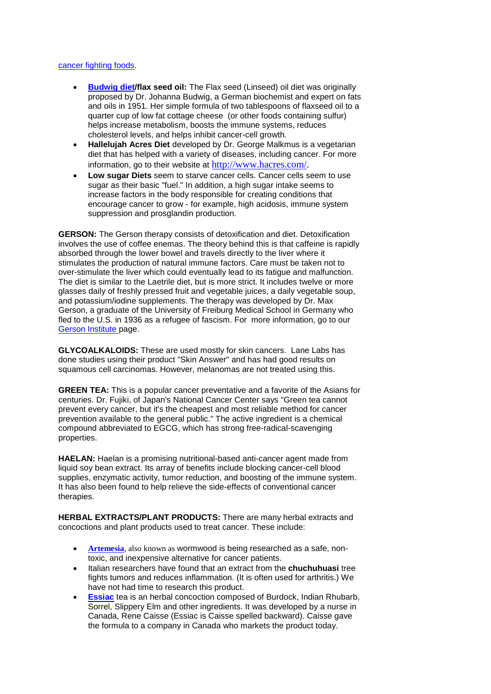## [cancer fighting foods.](http://www.cancure.org/cancer_fighting_foods.htm)

- **[Budwig diet/](http://www.cancure.org/budwig_diet.htm)flax seed oil:** The Flax seed (Linseed) oil diet was originally proposed by Dr. Johanna Budwig, a German biochemist and expert on fats and oils in 1951. Her simple formula of two tablespoons of flaxseed oil to a quarter cup of low fat cottage cheese (or other foods containing sulfur) helps increase metabolism, boosts the immune systems, reduces cholesterol levels, and helps inhibit cancer-cell growth.
- **Hallelujah Acres Diet** developed by Dr. George Malkmus is a vegetarian diet that has helped with a variety of diseases, including cancer. For more information, go to their website at [http://www.hacres.com/.](http://www.hacres.com/)
- **Low sugar Diets** seem to starve cancer cells. Cancer cells seem to use sugar as their basic "fuel." In addition, a high sugar intake seems to increase factors in the body responsible for creating conditions that encourage cancer to grow - for example, high acidosis, immune system suppression and prosglandin production.

**GERSON:** The Gerson therapy consists of detoxification and diet. Detoxification involves the use of coffee enemas. The theory behind this is that caffeine is rapidly absorbed through the lower bowel and travels directly to the liver where it stimulates the production of natural immune factors. Care must be taken not to over-stimulate the liver which could eventually lead to its fatigue and malfunction. The diet is similar to the Laetrile diet, but is more strict. It includes twelve or more glasses daily of freshly pressed fruit and vegetable juices, a daily vegetable soup, and potassium/iodine supplements. The therapy was developed by Dr. Max Gerson, a graduate of the University of Freiburg Medical School in Germany who fled to the U.S. in 1936 as a refugee of fascism. For more information, go to our [Gerson Institute p](http://www.cancure.org/Gerson_Institute.htm)age.

**GLYCOALKALOIDS:** These are used mostly for skin cancers. Lane Labs has done studies using their product "Skin Answer" and has had good results on squamous cell carcinomas. However, melanomas are not treated using this.

**GREEN TEA:** This is a popular cancer preventative and a favorite of the Asians for centuries. Dr. Fujiki, of Japan's National Cancer Center says "Green tea cannot prevent every cancer, but it's the cheapest and most reliable method for cancer prevention available to the general public." The active ingredient is a chemical compound abbreviated to EGCG, which has strong free-radical-scavenging properties.

**HAELAN:** Haelan is a promising nutritional-based anti-cancer agent made from liquid soy bean extract. Its array of benefits include blocking cancer-cell blood supplies, enzymatic activity, tumor reduction, and boosting of the immune system. It has also been found to help relieve the side-effects of conventional cancer therapies.

**HERBAL EXTRACTS/PLANT PRODUCTS:** There are many herbal extracts and concoctions and plant products used to treat cancer. These include:

- **[Artemesia](http://www.cancure.org/artemesia.htm)**, also known as wormwood is being researched as a safe, nontoxic, and inexpensive alternative for cancer patients.
- Italian researchers have found that an extract from the **chuchuhuasi** tree fights tumors and reduces inflammation. (It is often used for arthritis.) We have not had time to research this product.
- **[Essiac](http://www.cancure.org/essiac.htm)** tea is an herbal concoction composed of Burdock, Indian Rhubarb, Sorrel, Slippery Elm and other ingredients. It was developed by a nurse in Canada, Rene Caisse (Essiac is Caisse spelled backward). Caisse gave the formula to a company in Canada who markets the product today.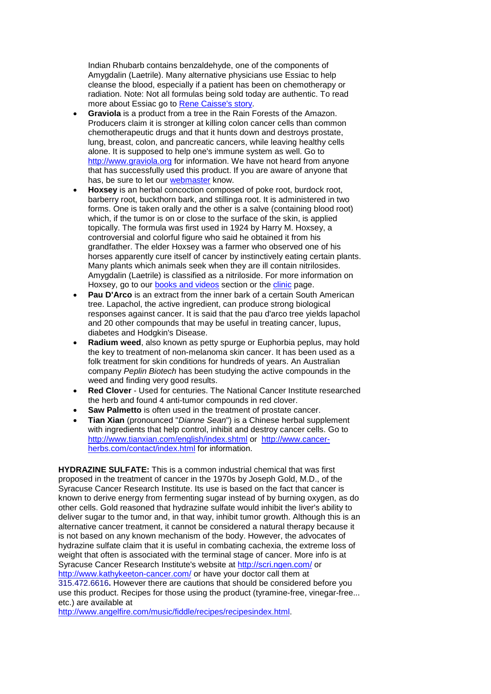Indian Rhubarb contains benzaldehyde, one of the components of Amygdalin (Laetrile). Many alternative physicians use Essiac to help cleanse the blood, especially if a patient has been on chemotherapy or radiation. Note: Not all formulas being sold today are authentic. To read more about Essiac go to [Rene Caisse's story.](http://comboweb.com/essiac/nurse.htm)

- **Graviola** is a product from a tree in the Rain Forests of the Amazon. Producers claim it is stronger at killing colon cancer cells than common chemotherapeutic drugs and that it hunts down and destroys prostate, lung, breast, colon, and pancreatic cancers, while leaving healthy cells alone. It is supposed to help one's immune system as well. Go to [http://www.graviola.org](http://www.graviola.org/) for information. We have not heard from anyone that has successfully used this product. If you are aware of anyone that has, be sure to let our [webmaster](mailto:webmaster@cancure.org) know.
- **Hoxsey** is an herbal concoction composed of poke root, burdock root, barberry root, buckthorn bark, and stillinga root. It is administered in two forms. One is taken orally and the other is a salve (containing blood root) which, if the tumor is on or close to the surface of the skin, is applied topically. The formula was first used in 1924 by Harry M. Hoxsey, a controversial and colorful figure who said he obtained it from his grandfather. The elder Hoxsey was a farmer who observed one of his horses apparently cure itself of cancer by instinctively eating certain plants. Many plants which animals seek when they are ill contain nitrilosides. Amygdalin (Laetrile) is classified as a nitriloside. For more information on Hoxsey, go to our [books and videos](http://www.cancure.org/sources_of_information.htm) section or the [clinic](http://www.cancure.org/hoxsey_clinic.htm) page.
- **Pau D'Arco** is an extract from the inner bark of a certain South American tree. Lapachol, the active ingredient, can produce strong biological responses against cancer. It is said that the pau d'arco tree yields lapachol and 20 other compounds that may be useful in treating cancer, lupus, diabetes and Hodgkin's Disease.
- **Radium weed**, also known as petty spurge or Euphorbia peplus, may hold the key to treatment of non-melanoma skin cancer. It has been used as a folk treatment for skin conditions for hundreds of years. An Australian company *Peplin Biotech* has been studying the active compounds in the weed and finding very good results.
- **Red Clover** Used for centuries. The National Cancer Institute researched the herb and found 4 anti-tumor compounds in red clover.
- **Saw Palmetto** is often used in the treatment of prostate cancer.
- **Tian Xian** (pronounced "*Dianne Sean*") is a Chinese herbal supplement with ingredients that help control, inhibit and destroy cancer cells. Go to <http://www.tianxian.com/english/index.shtml> or [http://www.cancer](http://www.cancer-herbs.com/contact/index.html)[herbs.com/contact/index.html](http://www.cancer-herbs.com/contact/index.html) for information.

**HYDRAZINE SULFATE:** This is a common industrial chemical that was first proposed in the treatment of cancer in the 1970s by Joseph Gold, M.D., of the Syracuse Cancer Research Institute. Its use is based on the fact that cancer is known to derive energy from fermenting sugar instead of by burning oxygen, as do other cells. Gold reasoned that hydrazine sulfate would inhibit the liver's ability to deliver sugar to the tumor and, in that way, inhibit tumor growth. Although this is an alternative cancer treatment, it cannot be considered a natural therapy because it is not based on any known mechanism of the body. However, the advocates of hydrazine sulfate claim that it is useful in combating cachexia, the extreme loss of weight that often is associated with the terminal stage of cancer. More info is at Syracuse Cancer Research Institute's website at<http://scri.ngen.com/> or <http://www.kathykeeton-cancer.com/> or have your doctor call them at 315.472.6616**.** However there are cautions that should be considered before you use this product. Recipes for those using the product (tyramine-free, vinegar-free... etc.) are available at

[http://www.angelfire.com/music/fiddle/recipes/recipesindex.html.](http://www.angelfire.com/music/fiddle/recipes/recipesindex.html)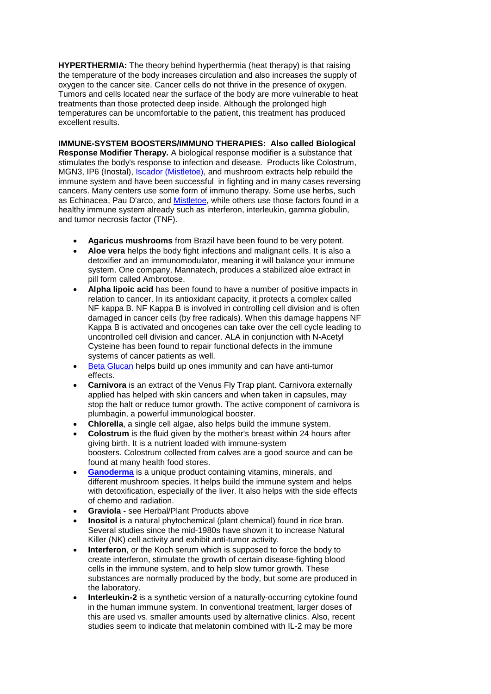**HYPERTHERMIA:** The theory behind hyperthermia (heat therapy) is that raising the temperature of the body increases circulation and also increases the supply of oxygen to the cancer site. Cancer cells do not thrive in the presence of oxygen. Tumors and cells located near the surface of the body are more vulnerable to heat treatments than those protected deep inside. Although the prolonged high temperatures can be uncomfortable to the patient, this treatment has produced excellent results.

**IMMUNE-SYSTEM BOOSTERS/IMMUNO THERAPIES: Also called Biological Response Modifier Therapy.** A biological response modifier is a substance that stimulates the body's response to infection and disease. Products like Colostrum, MGN3, IP6 (Inostal), **Iscador (Mistletoe)**, and mushroom extracts help rebuild the immune system and have been successful in fighting and in many cases reversing cancers. Many centers use some form of immuno therapy. Some use herbs, such as Echinacea, Pau D'arco, and [Mistletoe,](http://www.cancure.org/iscador_mistletoe.htm) while others use those factors found in a healthy immune system already such as interferon, interleukin, gamma globulin, and tumor necrosis factor (TNF).

- **Agaricus mushrooms** from Brazil have been found to be very potent.
- **Aloe vera** helps the body fight infections and malignant cells. It is also a detoxifier and an immunomodulator, meaning it will balance your immune system. One company, Mannatech, produces a stabilized aloe extract in pill form called Ambrotose.
- **Alpha lipoic acid** has been found to have a number of positive impacts in relation to cancer. In its antioxidant capacity, it protects a complex called NF kappa B. NF Kappa B is involved in controlling cell division and is often damaged in cancer cells (by free radicals). When this damage happens NF Kappa B is activated and oncogenes can take over the cell cycle leading to uncontrolled cell division and cancer. ALA in conjunction with N-Acetyl Cysteine has been found to repair functional defects in the immune systems of cancer patients as well.
- [Beta Glucan](http://www.cancure.org/beta_glucan.htm) helps build up ones immunity and can have anti-tumor effects.
- **Carnivora** is an extract of the Venus Fly Trap plant. Carnivora externally applied has helped with skin cancers and when taken in capsules, may stop the halt or reduce tumor growth. The active component of carnivora is plumbagin, a powerful immunological booster.
- **Chlorella**, a single cell algae, also helps build the immune system.
- **Colostrum** is the fluid given by the mother's breast within 24 hours after giving birth. It is a nutrient loaded with immune-system boosters. Colostrum collected from calves are a good source and can be found at many health food stores.
- **[Ganoderma](http://www.cancure.org/ganoderma.htm)** is a unique product containing vitamins, minerals, and different mushroom species. It helps build the immune system and helps with detoxification, especially of the liver. It also helps with the side effects of chemo and radiation.
- **Graviola** see Herbal/Plant Products above
- **Inositol** is a natural phytochemical (plant chemical) found in rice bran. Several studies since the mid-1980s have shown it to increase Natural Killer (NK) cell activity and exhibit anti-tumor activity.
- **Interferon**, or the Koch serum which is supposed to force the body to create interferon, stimulate the growth of certain disease-fighting blood cells in the immune system, and to help slow tumor growth. These substances are normally produced by the body, but some are produced in the laboratory.
- **Interleukin-2** is a synthetic version of a naturally-occurring cytokine found in the human immune system. In conventional treatment, larger doses of this are used vs. smaller amounts used by alternative clinics. Also, recent studies seem to indicate that melatonin combined with IL-2 may be more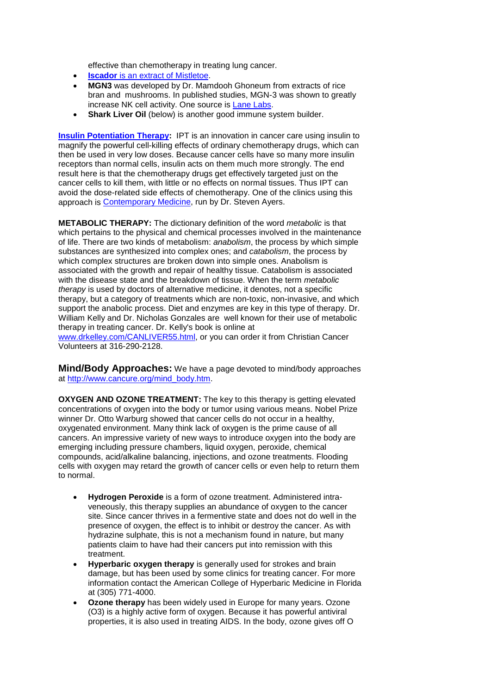effective than chemotherapy in treating lung cancer.

- **Iscador** [is an extract of Mistletoe.](http://www.cancure.org/iscador_mistletoe.htm)
- **MGN3** was developed by Dr. Mamdooh Ghoneum from extracts of rice bran and mushrooms. In published studies, MGN-3 was shown to greatly increase NK cell activity. One source is [Lane Labs.](http://www.lanelabs.com/Products%20index.asp)
- **Shark Liver Oil** (below) is another good immune system builder.

**[Insulin Potentiation Therapy:](http://www.cancure.org/insulin_potentiation_therapy.htm)** IPT is an innovation in cancer care using insulin to magnify the powerful cell-killing effects of ordinary chemotherapy drugs, which can then be used in very low doses. Because cancer cells have so many more insulin receptors than normal cells, insulin acts on them much more strongly. The end result here is that the chemotherapy drugs get effectively targeted just on the cancer cells to kill them, with little or no effects on normal tissues. Thus IPT can avoid the dose-related side effects of chemotherapy. One of the clinics using this approach is **Contemporary Medicine**, run by Dr. Steven Ayers.

**METABOLIC THERAPY:** The dictionary definition of the word *metabolic* is that which pertains to the physical and chemical processes involved in the maintenance of life. There are two kinds of metabolism: *anabolism*, the process by which simple substances are synthesized into complex ones; and *catabolism*, the process by which complex structures are broken down into simple ones. Anabolism is associated with the growth and repair of healthy tissue. Catabolism is associated with the disease state and the breakdown of tissue. When the term *metabolic therapy* is used by doctors of alternative medicine, it denotes, not a specific therapy, but a category of treatments which are non-toxic, non-invasive, and which support the anabolic process. Diet and enzymes are key in this type of therapy. Dr. William Kelly and Dr. Nicholas Gonzales are well known for their use of metabolic therapy in treating cancer. Dr. Kelly's book is online at

[www.drkelley.com/CANLIVER55.html,](http://www.drkelley.com/CANLIVER55.html) or you can order it from Christian Cancer Volunteers at 316-290-2128.

**Mind/Body Approaches:** We have a page devoted to mind/body approaches at [http://www.cancure.org/mind\\_body.htm.](http://www.cancure.org/mind_body.htm)

**OXYGEN AND OZONE TREATMENT:** The key to this therapy is getting elevated concentrations of oxygen into the body or tumor using various means. Nobel Prize winner Dr. Otto Warburg showed that cancer cells do not occur in a healthy, oxygenated environment. Many think lack of oxygen is the prime cause of all cancers. An impressive variety of new ways to introduce oxygen into the body are emerging including pressure chambers, liquid oxygen, peroxide, chemical compounds, acid/alkaline balancing, injections, and ozone treatments. Flooding cells with oxygen may retard the growth of cancer cells or even help to return them to normal.

- **Hydrogen Peroxide** is a form of ozone treatment. Administered intraveneously, this therapy supplies an abundance of oxygen to the cancer site. Since cancer thrives in a fermentive state and does not do well in the presence of oxygen, the effect is to inhibit or destroy the cancer. As with hydrazine sulphate, this is not a mechanism found in nature, but many patients claim to have had their cancers put into remission with this treatment.
- **Hyperbaric oxygen therapy** is generally used for strokes and brain damage, but has been used by some clinics for treating cancer. For more information contact the American College of Hyperbaric Medicine in Florida at (305) 771-4000.
- **Ozone therapy** has been widely used in Europe for many years. Ozone (O3) is a highly active form of oxygen. Because it has powerful antiviral properties, it is also used in treating AIDS. In the body, ozone gives off O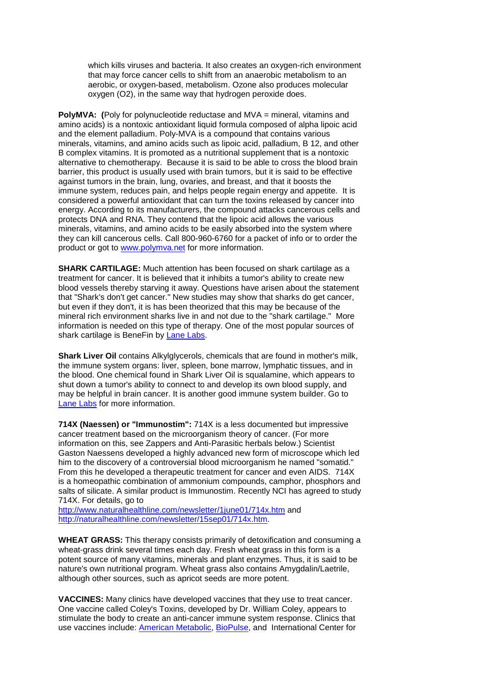which kills viruses and bacteria. It also creates an oxygen-rich environment that may force cancer cells to shift from an anaerobic metabolism to an aerobic, or oxygen-based, metabolism. Ozone also produces molecular oxygen (O2), in the same way that hydrogen peroxide does.

**PolyMVA: (**Poly for polynucleotide reductase and MVA = mineral, vitamins and amino acids) is a nontoxic antioxidant liquid formula composed of alpha lipoic acid and the element palladium. Poly-MVA is a compound that contains various minerals, vitamins, and amino acids such as lipoic acid, palladium, B 12, and other B complex vitamins. It is promoted as a nutritional supplement that is a nontoxic alternative to chemotherapy. Because it is said to be able to cross the blood brain barrier, this product is usually used with brain tumors, but it is said to be effective against tumors in the brain, lung, ovaries, and breast, and that it boosts the immune system, reduces pain, and helps people regain energy and appetite. It is considered a powerful antioxidant that can turn the toxins released by cancer into energy. According to its manufacturers, the compound attacks cancerous cells and protects DNA and RNA. They contend that the lipoic acid allows the various minerals, vitamins, and amino acids to be easily absorbed into the system where they can kill cancerous cells. Call 800-960-6760 for a packet of info or to order the product or got to [www.polymva.net](http://www.polymva.net/) for more information.

**SHARK CARTILAGE:** Much attention has been focused on shark cartilage as a treatment for cancer. It is believed that it inhibits a tumor's ability to create new blood vessels thereby starving it away. Questions have arisen about the statement that "Shark's don't get cancer." New studies may show that sharks do get cancer, but even if they don't, it is has been theorized that this may be because of the mineral rich environment sharks live in and not due to the "shark cartilage." More information is needed on this type of therapy. One of the most popular sources of shark cartilage is BeneFin by [Lane Labs.](http://www.lanelabs.com/Products%20index.asp)

**Shark Liver Oil** contains Alkylglycerols, chemicals that are found in mother's milk, the immune system organs: liver, spleen, bone marrow, lymphatic tissues, and in the blood. One chemical found in Shark Liver Oil is squalamine, which appears to shut down a tumor's ability to connect to and develop its own blood supply, and may be helpful in brain cancer. It is another good immune system builder. Go to [Lane Labs](http://www.lanelabs.com/Products%20index.asp) for more information.

**714X (Naessen) or "Immunostim":** 714X is a less documented but impressive cancer treatment based on the microorganism theory of cancer. (For more information on this, see Zappers and Anti-Parasitic herbals below.) Scientist Gaston Naessens developed a highly advanced new form of microscope which led him to the discovery of a controversial blood microorganism he named "somatid." From this he developed a therapeutic treatment for cancer and even AIDS. 714X is a homeopathic combination of ammonium compounds, camphor, phosphors and salts of silicate. A similar product is Immunostim. Recently NCI has agreed to study 714X. For details, go to

<http://www.naturalhealthline.com/newsletter/1june01/714x.htm> and [http://naturalhealthline.com/newsletter/15sep01/714x.htm.](http://naturalhealthline.com/newsletter/15sep01/714x.htm)

**WHEAT GRASS:** This therapy consists primarily of detoxification and consuming a wheat-grass drink several times each day. Fresh wheat grass in this form is a potent source of many vitamins, minerals and plant enzymes. Thus, it is said to be nature's own nutritional program. Wheat grass also contains Amygdalin/Laetrile, although other sources, such as apricot seeds are more potent.

**VACCINES:** Many clinics have developed vaccines that they use to treat cancer. One vaccine called Coley's Toxins, developed by Dr. William Coley, appears to stimulate the body to create an anti-cancer immune system response. Clinics that use vaccines include: [American Metabolic,](http://www.cancure.org/american_metabolic.htm) [BioPulse,](http://www.cancure.org/bio_pulse.htm) and International Center for